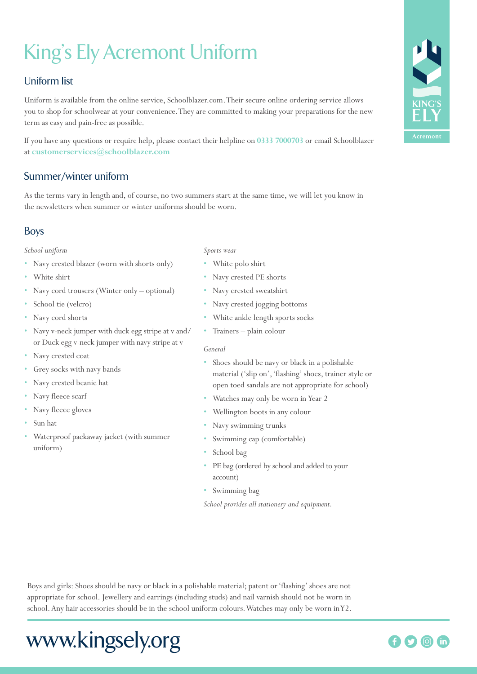# King's Ely Acremont Uniform

## Uniform list

Uniform is available from the online service, Schoolblazer.com. Their secure online ordering service allows you to shop for schoolwear at your convenience. They are committed to making your preparations for the new term as easy and pain-free as possible.

If you have any questions or require help, please contact their helpline on **0333 7000703** or email Schoolblazer at **customerservices@schoolblazer.com**

## Summer/winter uniform

As the terms vary in length and, of course, no two summers start at the same time, we will let you know in the newsletters when summer or winter uniforms should be worn.

## Boys

### *School uniform*

- Navy crested blazer (worn with shorts only)
- White shirt
- Navy cord trousers (Winter only optional)
- School tie (velcro)
- Navy cord shorts
- Navy v-neck jumper with duck egg stripe at v and/ or Duck egg v-neck jumper with navy stripe at v
- Navy crested coat
- Grey socks with navy bands
- Navy crested beanie hat
- Navy fleece scarf
- Navy fleece gloves
- Sun hat
- Waterproof packaway jacket (with summer uniform)
- *Sports wear*
- White polo shirt
- Navy crested PE shorts
- Navy crested sweatshirt
- Navy crested jogging bottoms
- White ankle length sports socks
- Trainers plain colour

### *General*

- Shoes should be navy or black in a polishable material ('slip on', 'flashing' shoes, trainer style or open toed sandals are not appropriate for school)
- Watches may only be worn in Year 2
- Wellington boots in any colour
- Navy swimming trunks
- Swimming cap (comfortable)
- School bag
- PE bag (ordered by school and added to your account)
- Swimming bag
- *School provides all stationery and equipment.*

Boys and girls: Shoes should be navy or black in a polishable material; patent or 'flashing' shoes are not appropriate for school. Jewellery and earrings (including studs) and nail varnish should not be worn in school. Any hair accessories should be in the school uniform colours. Watches may only be worn in Y2.

## www.kingsely.org